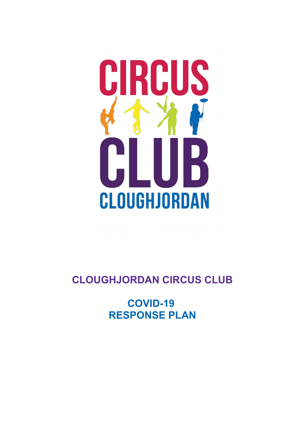# CIRCUS CLOUGHJORDAN

# **CLOUGHJORDAN CIRCUS CLUB**

**COVID-19 RESPONSE PLAN**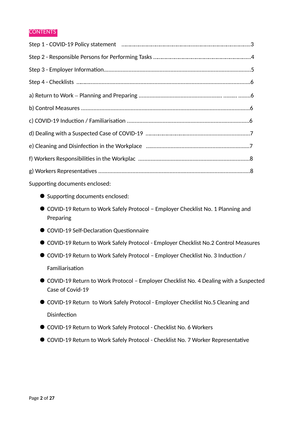### **CONTENTS**

| Supporting documents enclosed:   |
|----------------------------------|
| ■ Supporting documents enclosed: |

- COVID-19 Return to Work Safely Protocol Employer Checklist No. 1 Planning and Preparing
- $\bullet$  COVID-19 Self-Declaration Questionnaire
- COVID-19 Return to Work Safely Protocol Employer Checklist No.2 Control Measures
- COVID-19 Return to Work Safely Protocol Employer Checklist No. 3 Induction / Familiarisation
- COVID-19 Return to Work Protocol Employer Checklist No. 4 Dealing with a Suspected Case of Covid-19
- COVID-19 Return to Work Safely Protocol Employer Checklist No.5 Cleaning and Disinfection
- COVID-19 Return to Work Safely Protocol Checklist No. 6 Workers
- COVID-19 Return to Work Safely Protocol Checklist No. 7 Worker Representative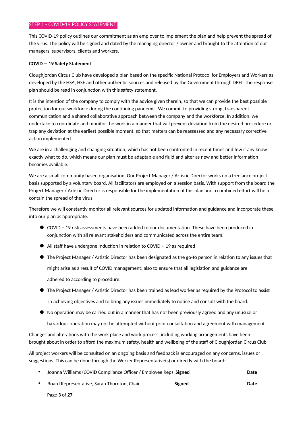### STEP 1 - COVID-19 POLICY STATEMENT

This COVID-19 policy outlines our commitment as an employer to implement the plan and help prevent the spread of the virus. The policy will be signed and dated by the managing director / owner and brought to the attention of our managers, supervisors, clients and workers.

### **COVID – 19 Safety Statement**

Cloughjordan Circus Club have developed a plan based on the specific National Protocol for Employers and Workers as developed by the HSA, HSE and other authentic sources and released by the Government through DBEI. The response plan should be read in conjunction with this safety statement.

It is the intention of the company to comply with the advice given therein, so that we can provide the best possible protection for our workforce during the continuing pandemic. We commit to providing strong, transparent communication and a shared collaborative approach between the company and the workforce. In addition, we undertake to coordinate and monitor the work in a manner that will prevent deviation from the desired procedure or trap any deviation at the earliest possible moment, so that matters can be reassessed and any necessary corrective action implemented.

We are in a challenging and changing situaton, which has not been confronted in recent tmes and few if any know exactly what to do, which means our plan must be adaptable and fluid and alter as new and better information becomes available.

We are a small community based organisation. Our Project Manager / Artistic Director works on a freelance project basis supported by a voluntary board. All facilitators are employed on a session basis. With support from the board the Project Manager / Artistic Director is responsible for the implementation of this plan and a combined effort will help contain the spread of the virus.

Therefore we will constantly monitor all relevant sources for updated information and guidance and incorporate these into our plan as appropriate.

- COVID 19 risk assessments have been added to our documentation. These have been produced in conjunction with all relevant stakeholders and communicated across the entire team.
- $\bullet$  All staff have undergone induction in relation to COVID 19 as required
- $\bullet$  The Project Manager / Artistic Director has been designated as the go-to person in relation to any issues that might arise as a result of COVID management; also to ensure that all legislaton and guidance are adhered to according to procedure.
- $\bullet$  The Project Manager / Artistic Director has been trained as lead worker as required by the Protocol to assist in achieving objectives and to bring any issues immediately to notice and consult with the board.
- $\bullet$  No operation may be carried out in a manner that has not been previously agreed and any unusual or

hazardous operaton may not be atempted without prior consultaton and agreement with management.

Changes and alterations with the work place and work process, including working arrangements have been brought about in order to afford the maximum safety, health and wellbeing of the staff of Cloughjordan Circus Club

All project workers will be consulted on an ongoing basis and feedback is encouraged on any concerns, issues or suggestions. This can be done through the Worker Representative(s) or directly with the board:

| Joanna Williams (COVID Compliance Officer / Employee Rep) Signed |        | Date |
|------------------------------------------------------------------|--------|------|
| Board Representative, Sarah Thornton, Chair                      | Signed | Date |

Page **3** of **27**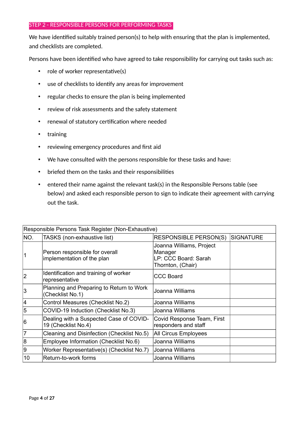### STEP 2 - RESPONSIBLE PERSONS FOR PERFORMING TASKS

We have identified suitably trained person(s) to help with ensuring that the plan is implemented, and checklists are completed.

Persons have been identified who have agreed to take responsibility for carrying out tasks such as:

- $\cdot$  role of worker representative(s)
- use of checklists to identify any areas for improvement
- regular checks to ensure the plan is being implemented
- review of risk assessments and the safety statement
- renewal of statutory certification where needed
- training
- reviewing emergency procedures and first aid
- We have consulted with the persons responsible for these tasks and have:
- briefed them on the tasks and their responsibilities
- entered their name against the relevant task(s) in the Responsible Persons table (see below) and asked each responsible person to sign to indicate their agreement with carrying out the task.

| Responsible Persons Task Register (Non-Exhaustive) |                                                                |                                                                                  |                  |  |
|----------------------------------------------------|----------------------------------------------------------------|----------------------------------------------------------------------------------|------------------|--|
| NO.                                                | TASKS (non-exhaustive list)                                    | <b>RESPONSIBLE PERSON(S)</b>                                                     | <b>SIGNATURE</b> |  |
| 1                                                  | Person responsible for overall<br>implementation of the plan   | Joanna Williams, Project<br>Manager<br>LP: CCC Board: Sarah<br>Thornton, (Chair) |                  |  |
| $\overline{2}$                                     | Identification and training of worker<br>representative        | <b>CCC Board</b>                                                                 |                  |  |
| 3                                                  | Planning and Preparing to Return to Work<br>(Checklist No.1)   | Joanna Williams                                                                  |                  |  |
| 4                                                  | Control Measures (Checklist No.2)                              | Joanna Williams                                                                  |                  |  |
| 5                                                  | COVID-19 Induction (Checklist No.3)                            | Joanna Williams                                                                  |                  |  |
| 6                                                  | Dealing with a Suspected Case of COVID-<br>19 (Checklist No.4) | Covid Response Team, First<br>responders and staff                               |                  |  |
| $\overline{7}$                                     | Cleaning and Disinfection (Checklist No.5)                     | <b>All Circus Employees</b>                                                      |                  |  |
| 8                                                  | Employee Information (Checklist No.6)                          | Joanna Williams                                                                  |                  |  |
| 9                                                  | Worker Representative(s) (Checklist No.7)                      | Joanna Williams                                                                  |                  |  |
| 10                                                 | Return-to-work forms                                           | Joanna Williams                                                                  |                  |  |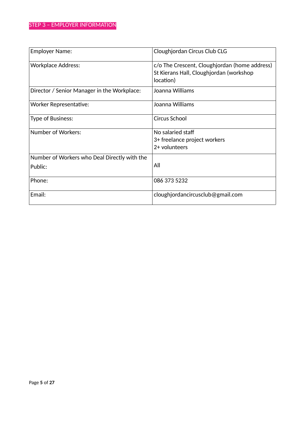| <b>Employer Name:</b>                                   | Cloughjordan Circus Club CLG                                                                          |
|---------------------------------------------------------|-------------------------------------------------------------------------------------------------------|
| <b>Workplace Address:</b>                               | c/o The Crescent, Cloughjordan (home address)<br>St Kierans Hall, Cloughjordan (workshop<br>location) |
| Director / Senior Manager in the Workplace:             | Joanna Williams                                                                                       |
| <b>Worker Representative:</b>                           | Joanna Williams                                                                                       |
| <b>Type of Business:</b>                                | Circus School                                                                                         |
| <b>Number of Workers:</b>                               | No salaried staff<br>3+ freelance project workers<br>2+ volunteers                                    |
| Number of Workers who Deal Directly with the<br>Public: | All                                                                                                   |
| Phone:                                                  | 086 373 5232                                                                                          |
| Email:                                                  | cloughjordancircusclub@gmail.com                                                                      |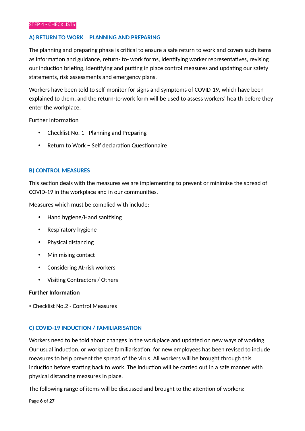### **A) RETURN TO WORK – PLANNING AND PREPARING**

The planning and preparing phase is critical to ensure a safe return to work and covers such items as information and guidance, return- to- work forms, identifying worker representatives, revising our induction briefing, identifying and putting in place control measures and updating our safety statements, risk assessments and emergency plans.

Workers have been told to self-monitor for signs and symptoms of COVID-19, which have been explained to them, and the return-to-work form will be used to assess workers' health before they enter the workplace.

Further Information

- Checklist No. 1 Planning and Preparing
- Return to Work Self declaration Questionnaire

### **B) CONTROL MEASURES**

This section deals with the measures we are implementing to prevent or minimise the spread of COVID-19 in the workplace and in our communites.

Measures which must be complied with include

- Hand hygiene/Hand sanitising
- Respiratory hygiene
- Physical distancing
- Minimising contact
- Considering At-risk workers
- Visitng Contractors / Others

### **Further Information**

• Checklist No.2 - Control Measures

### **C) COVID-19 INDUCTION / FAMILIARISATION**

Workers need to be told about changes in the workplace and updated on new ways of working. Our usual induction, or workplace familiarisation, for new employees has been revised to include measures to help prevent the spread of the virus. All workers will be brought through this induction before starting back to work. The induction will be carried out in a safe manner with physical distancing measures in place.

The following range of items will be discussed and brought to the attention of workers:

Page **6** of **27**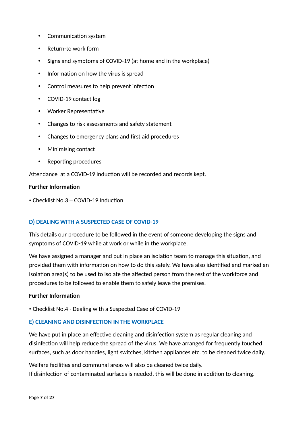- Communication system
- Return-to work form
- Signs and symptoms of COVID-19 (at home and in the workplace)
- Information on how the virus is spread
- Control measures to help prevent infection
- COVID-19 contact log
- Worker Representatie
- Changes to risk assessments and safety statement
- Changes to emergency plans and frst aid procedures
- Minimising contact
- Reporting procedures

Attendance at a COVID-19 induction will be recorded and records kept.

### **Further Information**

 $\cdot$  Checklist No.3 – COVID-19 Induction

### **D) DEALING WITH A SUSPECTED CASE OF COVID-19**

This details our procedure to be followed in the event of someone developing the signs and symptoms of COVID-19 while at work or while in the workplace.

We have assigned a manager and put in place an isolation team to manage this situation, and provided them with information on how to do this safely. We have also identified and marked an isolation area(s) to be used to isolate the affected person from the rest of the workforce and procedures to be followed to enable them to safely leave the premises.

### **Further Information**

• Checklist No.4 - Dealing with a Suspected Case of COVID-19

### **E) CLEANING AND DISINFECTION IN THE WORKPLACE**

We have put in place an effective cleaning and disinfection system as regular cleaning and disinfection will help reduce the spread of the virus. We have arranged for frequently touched surfaces, such as door handles, light switches, kitchen appliances etc. to be cleaned twice daily.

Welfare facilites and communal areas will also be cleaned twice daily. If disinfection of contaminated surfaces is needed, this will be done in addition to cleaning.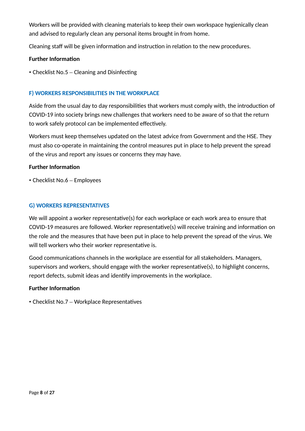Workers will be provided with cleaning materials to keep their own workspace hygienically clean and advised to regularly clean any personal items brought in from home.

Cleaning staff will be given information and instruction in relation to the new procedures.

### **Further Information**

 $\cdot$  Checklist No.5 – Cleaning and Disinfecting

### **F) WORKERS RESPONSIBILITIES IN THE WORKPLACE**

Aside from the usual day to day responsibilities that workers must comply with, the introduction of COVID-19 into society brings new challenges that workers need to be aware of so that the return to work safely protocol can be implemented effectively.

Workers must keep themselves updated on the latest advice from Government and the HSE. They must also co-operate in maintaining the control measures put in place to help prevent the spread of the virus and report any issues or concerns they may have.

### **Further Informaton**

• Checklist No.6 – Employees

### **G) WORKERS REPRESENTATIVES**

We will appoint a worker representative(s) for each workplace or each work area to ensure that COVID-19 measures are followed. Worker representative(s) will receive training and information on the role and the measures that have been put in place to help prevent the spread of the virus. We will tell workers who their worker representative is.

Good communications channels in the workplace are essential for all stakeholders. Managers, supervisors and workers, should engage with the worker representative(s), to highlight concerns, report defects, submit ideas and identify improvements in the workplace.

### **Further Informaton**

• Checklist No.7 – Workplace Representatives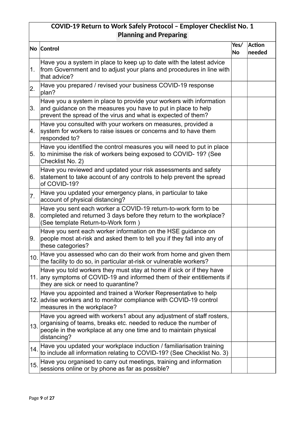# **COVID-19 Return to Work Safely Protocol – Employer Checklist No. 1 Planning and Preparing**

|     | <b>No Control</b>                                                                                                                                                                                                          | Yes/ | Action |
|-----|----------------------------------------------------------------------------------------------------------------------------------------------------------------------------------------------------------------------------|------|--------|
|     |                                                                                                                                                                                                                            | No   | needed |
| 1.  | Have you a system in place to keep up to date with the latest advice<br>from Government and to adjust your plans and procedures in line with<br>that advice?                                                               |      |        |
| 2.  | Have you prepared / revised your business COVID-19 response<br>plan?                                                                                                                                                       |      |        |
| 3.  | Have you a system in place to provide your workers with information<br>and guidance on the measures you have to put in place to help<br>prevent the spread of the virus and what is expected of them?                      |      |        |
| 4.  | Have you consulted with your workers on measures, provided a<br>system for workers to raise issues or concerns and to have them<br>responded to?                                                                           |      |        |
| 5.  | Have you identified the control measures you will need to put in place<br>to minimise the risk of workers being exposed to COVID-19? (See<br>Checklist No. 2)                                                              |      |        |
| 6.  | Have you reviewed and updated your risk assessments and safety<br>statement to take account of any controls to help prevent the spread<br>of COVID-19?                                                                     |      |        |
| 17. | Have you updated your emergency plans, in particular to take<br>account of physical distancing?                                                                                                                            |      |        |
| 8.  | Have you sent each worker a COVID-19 return-to-work form to be<br>completed and returned 3 days before they return to the workplace?<br>(See template Return-to-Work form)                                                 |      |        |
| Ι9. | Have you sent each worker information on the HSE guidance on<br>people most at-risk and asked them to tell you if they fall into any of<br>these categories?                                                               |      |        |
| 10. | Have you assessed who can do their work from home and given them<br>the facility to do so, in particular at-risk or vulnerable workers?                                                                                    |      |        |
|     | Have you told workers they must stay at home if sick or if they have<br>11. any symptoms of COVID-19 and informed them of their entitlements if<br>they are sick or need to quarantine?                                    |      |        |
|     | Have you appointed and trained a Worker Representative to help<br>12. advise workers and to monitor compliance with COVID-19 control<br>measures in the workplace?                                                         |      |        |
| 13. | Have you agreed with workers1 about any adjustment of staff rosters,<br>organising of teams, breaks etc. needed to reduce the number of<br>people in the workplace at any one time and to maintain physical<br>distancing? |      |        |
| 14. | Have you updated your workplace induction / familiarisation training<br>to include all information relating to COVID-19? (See Checklist No. 3)                                                                             |      |        |
| 15. | Have you organised to carry out meetings, training and information<br>sessions online or by phone as far as possible?                                                                                                      |      |        |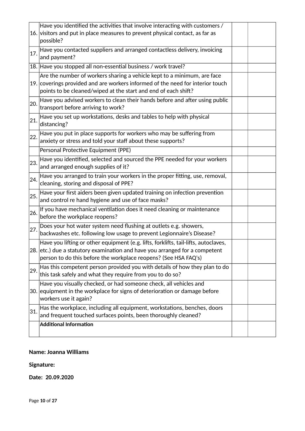|     | Have you identified the activities that involve interacting with customers /                                                                                                                                                          |  |
|-----|---------------------------------------------------------------------------------------------------------------------------------------------------------------------------------------------------------------------------------------|--|
|     | 16. visitors and put in place measures to prevent physical contact, as far as<br>possible?                                                                                                                                            |  |
| 17. | Have you contacted suppliers and arranged contactless delivery, invoicing<br>and payment?                                                                                                                                             |  |
|     | 18. Have you stopped all non-essential business / work travel?                                                                                                                                                                        |  |
|     | Are the number of workers sharing a vehicle kept to a minimum, are face<br>19. coverings provided and are workers informed of the need for interior touch<br>points to be cleaned/wiped at the start and end of each shift?           |  |
| 20. | Have you advised workers to clean their hands before and after using public<br>transport before arriving to work?                                                                                                                     |  |
| 21. | Have you set up workstations, desks and tables to help with physical<br>distancing?                                                                                                                                                   |  |
| 22. | Have you put in place supports for workers who may be suffering from<br>anxiety or stress and told your staff about these supports?                                                                                                   |  |
|     | Personal Protective Equipment (PPE)                                                                                                                                                                                                   |  |
| 23. | Have you identified, selected and sourced the PPE needed for your workers<br>and arranged enough supplies of it?                                                                                                                      |  |
| 24. | Have you arranged to train your workers in the proper fitting, use, removal,<br>cleaning, storing and disposal of PPE?                                                                                                                |  |
| 25. | Have your first aiders been given updated training on infection prevention<br>and control re hand hygiene and use of face masks?                                                                                                      |  |
| 26. | If you have mechanical ventilation does it need cleaning or maintenance<br>before the workplace reopens?                                                                                                                              |  |
| 27. | Does your hot water system need flushing at outlets e.g. showers,<br>backwashes etc. following low usage to prevent Legionnaire's Disease?                                                                                            |  |
|     | Have you lifting or other equipment (e.g. lifts, forklifts, tail-lifts, autoclaves,<br>28. etc.) due a statutory examination and have you arranged for a competent<br>person to do this before the workplace reopens? (See HSA FAQ's) |  |
| 29. | Has this competent person provided you with details of how they plan to do<br>this task safely and what they require from you to do so?                                                                                               |  |
|     | Have you visually checked, or had someone check, all vehicles and<br>30. equipment in the workplace for signs of deterioration or damage before<br>workers use it again?                                                              |  |
| 31. | Has the workplace, including all equipment, workstations, benches, doors<br>and frequent touched surfaces points, been thoroughly cleaned?                                                                                            |  |
|     | <b>Additional Information</b>                                                                                                                                                                                                         |  |

# **Name: Joanna Williams**

# **Signature:**

**Date: 20.09.2020**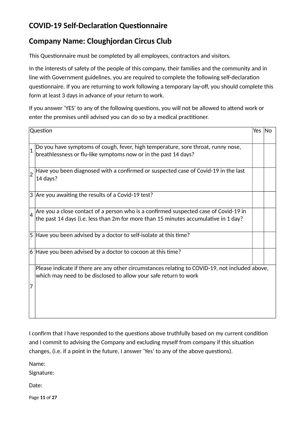# **COVID-19 Self-Declaration Questionnaire**

# **Company Name: Cloughjordan Circus Club**

This Questionnaire must be completed by all employees, contractors and visitors.

In the interests of safety of the people of this company, their families and the community and in line with Government guidelines, you are required to complete the following self-declaration questionnaire. If you are returning to work following a temporary lay-off, you should complete this form at least 3 days in advance of your return to work.

If you answer 'YES' to any of the following questions, you will not be allowed to attend work or enter the premises until advised you can do so by a medical practitioner.

|                | Question                                                                                                                                                                    | Yes l | lNo |
|----------------|-----------------------------------------------------------------------------------------------------------------------------------------------------------------------------|-------|-----|
|                | Do you have symptoms of cough, fever, high temperature, sore throat, runny nose,<br>breathlessness or flu-like symptoms now or in the past 14 days?                         |       |     |
|                | Have you been diagnosed with a confirmed or suspected case of Covid-19 in the last<br>14 days?                                                                              |       |     |
|                | 3 Are you awaiting the results of a Covid-19 test?                                                                                                                          |       |     |
| $\overline{4}$ | Are you a close contact of a person who is a confirmed suspected case of Covid-19 in<br>the past 14 days (i.e. less than 2m for more than 15 minutes accumulative in 1 day? |       |     |
|                | $\vert$ 5  Have you been advised by a doctor to self-isolate at this time?                                                                                                  |       |     |
|                | $\vert$ 6 Have you been advised by a doctor to cocoon at this time?                                                                                                         |       |     |
| 17             | Please indicate if there are any other circumstances relating to COVID-19, not included above,<br>which may need to be disclosed to allow your safe return to work          |       |     |

I confirm that I have responded to the questions above truthfully based on my current condition and I commit to advising the Company and excluding myself from company if this situation changes, (i.e. if a point in the future, I answer 'Yes' to any of the above questions).

Name

Signature

Date:

Page **11** of **27**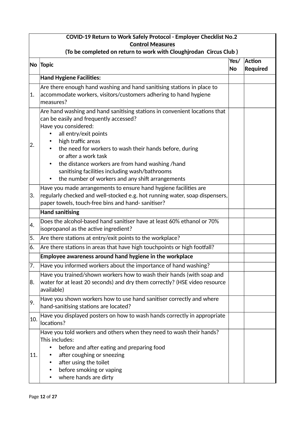|     | COVID-19 Return to Work Safely Protocol - Employer Checklist No.2                                                                                                                                                                                                                                                                                                                                                                                     |                   |                                  |  |  |
|-----|-------------------------------------------------------------------------------------------------------------------------------------------------------------------------------------------------------------------------------------------------------------------------------------------------------------------------------------------------------------------------------------------------------------------------------------------------------|-------------------|----------------------------------|--|--|
|     | <b>Control Measures</b>                                                                                                                                                                                                                                                                                                                                                                                                                               |                   |                                  |  |  |
|     | (To be completed on return to work with Cloughjrodan Circus Club)                                                                                                                                                                                                                                                                                                                                                                                     |                   |                                  |  |  |
|     | No Topic                                                                                                                                                                                                                                                                                                                                                                                                                                              | Yes/<br><b>No</b> | <b>Action</b><br><b>Required</b> |  |  |
|     | <b>Hand Hygiene Facilities:</b>                                                                                                                                                                                                                                                                                                                                                                                                                       |                   |                                  |  |  |
| 1.  | Are there enough hand washing and hand sanitising stations in place to<br>accommodate workers, visitors/customers adhering to hand hygiene<br>measures?                                                                                                                                                                                                                                                                                               |                   |                                  |  |  |
| 2.  | Are hand washing and hand sanitising stations in convenient locations that<br>can be easily and frequently accessed?<br>Have you considered:<br>all entry/exit points<br>high traffic areas<br>the need for workers to wash their hands before, during<br>or after a work task<br>the distance workers are from hand washing /hand<br>$\bullet$<br>sanitising facilities including wash/bathrooms<br>the number of workers and any shift arrangements |                   |                                  |  |  |
| 3.  | Have you made arrangements to ensure hand hygiene facilities are<br>regularly checked and well-stocked e.g. hot running water, soap dispensers,<br>paper towels, touch-free bins and hand-sanitiser?                                                                                                                                                                                                                                                  |                   |                                  |  |  |
|     | <b>Hand sanitising</b>                                                                                                                                                                                                                                                                                                                                                                                                                                |                   |                                  |  |  |
| 4.  | Does the alcohol-based hand sanitiser have at least 60% ethanol or 70%<br>isopropanol as the active ingredient?                                                                                                                                                                                                                                                                                                                                       |                   |                                  |  |  |
| 5.  | Are there stations at entry/exit points to the workplace?                                                                                                                                                                                                                                                                                                                                                                                             |                   |                                  |  |  |
| 6.  | Are there stations in areas that have high touchpoints or high footfall?                                                                                                                                                                                                                                                                                                                                                                              |                   |                                  |  |  |
|     | Employee awareness around hand hygiene in the workplace                                                                                                                                                                                                                                                                                                                                                                                               |                   |                                  |  |  |
| 7.  | Have you informed workers about the importance of hand washing?                                                                                                                                                                                                                                                                                                                                                                                       |                   |                                  |  |  |
| 8.  | Have you trained/shown workers how to wash their hands (with soap and<br>water for at least 20 seconds) and dry them correctly? (HSE video resource<br>available)                                                                                                                                                                                                                                                                                     |                   |                                  |  |  |
| 9.  | Have you shown workers how to use hand sanitiser correctly and where<br>hand-sanitising stations are located?                                                                                                                                                                                                                                                                                                                                         |                   |                                  |  |  |
| 10. | Have you displayed posters on how to wash hands correctly in appropriate<br>locations?                                                                                                                                                                                                                                                                                                                                                                |                   |                                  |  |  |
| 11. | Have you told workers and others when they need to wash their hands?<br>This includes:<br>before and after eating and preparing food<br>after coughing or sneezing<br>after using the toilet<br>before smoking or vaping<br>where hands are dirty                                                                                                                                                                                                     |                   |                                  |  |  |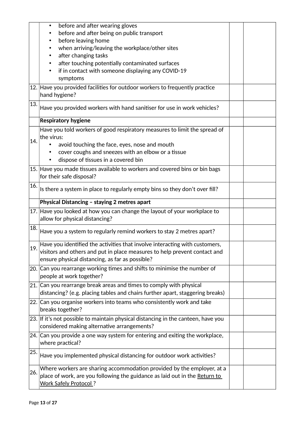|     | before and after wearing gloves                                                                  |  |
|-----|--------------------------------------------------------------------------------------------------|--|
|     | before and after being on public transport                                                       |  |
|     | before leaving home                                                                              |  |
|     | when arriving/leaving the workplace/other sites                                                  |  |
|     | after changing tasks                                                                             |  |
|     | after touching potentially contaminated surfaces                                                 |  |
|     | if in contact with someone displaying any COVID-19                                               |  |
|     | symptoms                                                                                         |  |
|     | 12. Have you provided facilities for outdoor workers to frequently practice                      |  |
|     | hand hygiene?                                                                                    |  |
|     |                                                                                                  |  |
| 13. | Have you provided workers with hand sanitiser for use in work vehicles?                          |  |
|     | <b>Respiratory hygiene</b>                                                                       |  |
|     | Have you told workers of good respiratory measures to limit the spread of                        |  |
| 14. | the virus:                                                                                       |  |
|     | avoid touching the face, eyes, nose and mouth                                                    |  |
|     | cover coughs and sneezes with an elbow or a tissue                                               |  |
|     | dispose of tissues in a covered bin                                                              |  |
|     | 15. Have you made tissues available to workers and covered bins or bin bags                      |  |
|     | for their safe disposal?                                                                         |  |
| 16. |                                                                                                  |  |
|     | Is there a system in place to regularly empty bins so they don't over fill?                      |  |
|     | Physical Distancing - staying 2 metres apart                                                     |  |
|     |                                                                                                  |  |
|     | 17. Have you looked at how you can change the layout of your workplace to                        |  |
|     | allow for physical distancing?                                                                   |  |
| 18. | Have you a system to regularly remind workers to stay 2 metres apart?                            |  |
|     | Have you identified the activities that involve interacting with customers,                      |  |
| 19. | visitors and others and put in place measures to help prevent contact and                        |  |
|     | ensure physical distancing, as far as possible?                                                  |  |
|     | 20. Can you rearrange working times and shifts to minimise the number of                         |  |
|     | people at work together?                                                                         |  |
|     |                                                                                                  |  |
|     | 21. Can you rearrange break areas and times to comply with physical                              |  |
|     | distancing? (e.g. placing tables and chairs further apart, staggering breaks)                    |  |
|     | 22. Can you organise workers into teams who consistently work and take<br>breaks together?       |  |
|     | 23. If it's not possible to maintain physical distancing in the canteen, have you                |  |
|     | considered making alternative arrangements?                                                      |  |
|     |                                                                                                  |  |
|     | 24. Can you provide a one way system for entering and exiting the workplace,<br>where practical? |  |
| 25. |                                                                                                  |  |
|     | Have you implemented physical distancing for outdoor work activities?                            |  |
| 26. | Where workers are sharing accommodation provided by the employer, at a                           |  |
|     | place of work, are you following the guidance as laid out in the Return to                       |  |
|     | <b>Work Safely Protocol?</b>                                                                     |  |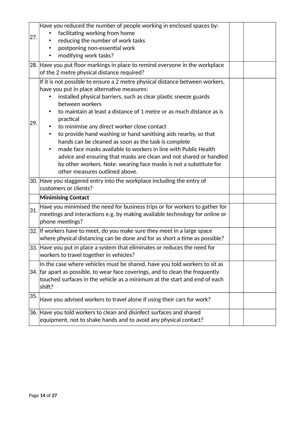|     | Have you reduced the number of people working in enclosed spaces by:           |  |
|-----|--------------------------------------------------------------------------------|--|
|     |                                                                                |  |
| 27. | facilitating working from home                                                 |  |
|     | reducing the number of work tasks                                              |  |
|     | postponing non-essential work                                                  |  |
|     | modifying work tasks?                                                          |  |
|     | 28. Have you put floor markings in place to remind everyone in the workplace   |  |
|     | of the 2 metre physical distance required?                                     |  |
|     | If it is not possible to ensure a 2 metre physical distance between workers,   |  |
|     | have you put in place alternative measures:                                    |  |
|     |                                                                                |  |
|     | installed physical barriers, such as clear plastic sneeze guards               |  |
|     | between workers                                                                |  |
|     | to maintain at least a distance of 1 metre or as much distance as is           |  |
| 29. | practical                                                                      |  |
|     | to minimise any direct worker close contact                                    |  |
|     | to provide hand washing or hand sanitising aids nearby, so that                |  |
|     | hands can be cleaned as soon as the task is complete                           |  |
|     | made face masks available to workers in line with Public Health                |  |
|     | advice and ensuring that masks are clean and not shared or handled             |  |
|     | by other workers. Note: wearing face masks is not a substitute for             |  |
|     | other measures outlined above.                                                 |  |
|     | 30. Have you staggered entry into the workplace including the entry of         |  |
|     | customers or clients?                                                          |  |
|     |                                                                                |  |
|     | <b>Minimising Contact</b>                                                      |  |
| 31. | Have you minimised the need for business trips or for workers to gather for    |  |
|     | meetings and interactions e.g. by making available technology for online or    |  |
|     | phone meetings?                                                                |  |
|     | 32. If workers have to meet, do you make sure they meet in a large space       |  |
|     | where physical distancing can be done and for as short a time as possible?     |  |
|     | 33. Have you put in place a system that eliminates or reduces the need for     |  |
|     |                                                                                |  |
|     | workers to travel together in vehicles?                                        |  |
|     | In the case where vehicles must be shared, have you told workers to sit as     |  |
|     | 34. far apart as possible, to wear face coverings, and to clean the frequently |  |
|     | touched surfaces in the vehicle as a minimum at the start and end of each      |  |
|     | shift?                                                                         |  |
| 35. |                                                                                |  |
|     | Have you advised workers to travel alone if using their cars for work?         |  |
|     | 36. Have you told workers to clean and disinfect surfaces and shared           |  |
|     |                                                                                |  |
|     | equipment, not to shake hands and to avoid any physical contact?               |  |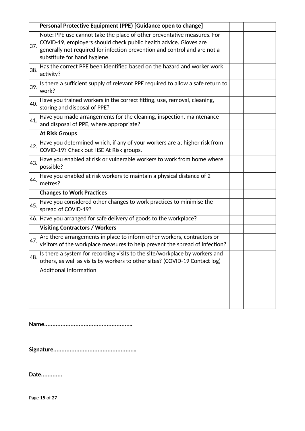|     | Personal Protective Equipment (PPE) [Guidance open to change]                                                                                                                                                                                             |  |
|-----|-----------------------------------------------------------------------------------------------------------------------------------------------------------------------------------------------------------------------------------------------------------|--|
| 37. | Note: PPE use cannot take the place of other preventative measures. For<br>COVID-19, employers should check public health advice. Gloves are<br>generally not required for infection prevention and control and are not a<br>substitute for hand hygiene. |  |
| 38. | Has the correct PPE been identified based on the hazard and worker work<br>activity?                                                                                                                                                                      |  |
| 39. | Is there a sufficient supply of relevant PPE required to allow a safe return to<br>work?                                                                                                                                                                  |  |
| 40. | Have you trained workers in the correct fitting, use, removal, cleaning,<br>storing and disposal of PPE?                                                                                                                                                  |  |
| 41. | Have you made arrangements for the cleaning, inspection, maintenance<br>and disposal of PPE, where appropriate?                                                                                                                                           |  |
|     | <b>At Risk Groups</b>                                                                                                                                                                                                                                     |  |
| 42. | Have you determined which, if any of your workers are at higher risk from<br>COVID-19? Check out HSE At Risk groups.                                                                                                                                      |  |
| 43. | Have you enabled at risk or vulnerable workers to work from home where<br>possible?                                                                                                                                                                       |  |
| 44. | Have you enabled at risk workers to maintain a physical distance of 2<br>metres?                                                                                                                                                                          |  |
|     | <b>Changes to Work Practices</b>                                                                                                                                                                                                                          |  |
| 45. | Have you considered other changes to work practices to minimise the<br>spread of COVID-19?                                                                                                                                                                |  |
|     | 46. Have you arranged for safe delivery of goods to the workplace?                                                                                                                                                                                        |  |
|     | <b>Visiting Contractors / Workers</b>                                                                                                                                                                                                                     |  |
| 47. | Are there arrangements in place to inform other workers, contractors or<br>visitors of the workplace measures to help prevent the spread of infection?                                                                                                    |  |
| 48. | Is there a system for recording visits to the site/workplace by workers and<br>others, as well as visits by workers to other sites? (COVID-19 Contact log)                                                                                                |  |
|     | <b>Additional Information</b>                                                                                                                                                                                                                             |  |

**Name...................................................…**

**Signature................................................…**

**Date.............**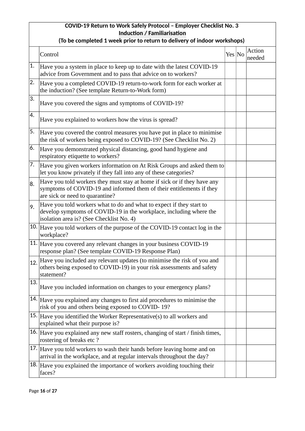# **COVID-19 Return to Work Safely Protocol – Employer Checklist No. 3 Induction / Familiarisation**

|     | (To be completed I week prior to return to delivery or muodi workshops)                                                                                                                |        |  |                  |  |  |
|-----|----------------------------------------------------------------------------------------------------------------------------------------------------------------------------------------|--------|--|------------------|--|--|
|     | Control                                                                                                                                                                                | Yes No |  | Action<br>needed |  |  |
| 1.  | Have you a system in place to keep up to date with the latest COVID-19<br>advice from Government and to pass that advice on to workers?                                                |        |  |                  |  |  |
| 2.  | Have you a completed COVID-19 return-to-work form for each worker at<br>the induction? (See template Return-to-Work form)                                                              |        |  |                  |  |  |
| 3.  | Have you covered the signs and symptoms of COVID-19?                                                                                                                                   |        |  |                  |  |  |
| 4.  | Have you explained to workers how the virus is spread?                                                                                                                                 |        |  |                  |  |  |
| 5.  | Have you covered the control measures you have put in place to minimise<br>the risk of workers being exposed to COVID-19? (See Checklist No. 2)                                        |        |  |                  |  |  |
| 6.  | Have you demonstrated physical distancing, good hand hygiene and<br>respiratory etiquette to workers?                                                                                  |        |  |                  |  |  |
| 7.  | Have you given workers information on At Risk Groups and asked them to<br>let you know privately if they fall into any of these categories?                                            |        |  |                  |  |  |
| 8.  | Have you told workers they must stay at home if sick or if they have any<br>symptoms of COVID-19 and informed them of their entitlements if they<br>are sick or need to quarantine?    |        |  |                  |  |  |
| 9.  | Have you told workers what to do and what to expect if they start to<br>develop symptoms of COVID-19 in the workplace, including where the<br>isolation area is? (See Checklist No. 4) |        |  |                  |  |  |
|     | 10. Have you told workers of the purpose of the COVID-19 contact log in the<br>workplace?                                                                                              |        |  |                  |  |  |
|     | 11. Have you covered any relevant changes in your business COVID-19<br>response plan? (See template COVID-19 Response Plan)                                                            |        |  |                  |  |  |
| 12. | Have you included any relevant updates (to minimise the risk of you and<br>others being exposed to COVID-19) in your risk assessments and safety<br>statement?                         |        |  |                  |  |  |
| 13. | Have you included information on changes to your emergency plans?                                                                                                                      |        |  |                  |  |  |
|     | 14. Have you explained any changes to first aid procedures to minimise the<br>risk of you and others being exposed to COVID-19?                                                        |        |  |                  |  |  |
|     | 15. Have you identified the Worker Representative(s) to all workers and<br>explained what their purpose is?                                                                            |        |  |                  |  |  |
|     | 16. Have you explained any new staff rosters, changing of start / finish times,<br>rostering of breaks etc?                                                                            |        |  |                  |  |  |
|     | 17. Have you told workers to wash their hands before leaving home and on<br>arrival in the workplace, and at regular intervals throughout the day?                                     |        |  |                  |  |  |
|     | $18.$ Have you explained the importance of workers avoiding touching their<br>faces?                                                                                                   |        |  |                  |  |  |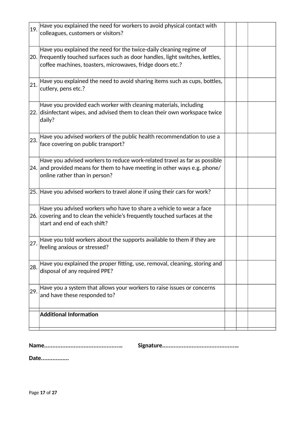| 19. | Have you explained the need for workers to avoid physical contact with<br>colleagues, customers or visitors?                                                                                                      |  |  |
|-----|-------------------------------------------------------------------------------------------------------------------------------------------------------------------------------------------------------------------|--|--|
|     | Have you explained the need for the twice-daily cleaning regime of<br>20. frequently touched surfaces such as door handles, light switches, kettles,<br>coffee machines, toasters, microwaves, fridge doors etc.? |  |  |
| 21. | Have you explained the need to avoid sharing items such as cups, bottles,<br>cutlery, pens etc.?                                                                                                                  |  |  |
|     | Have you provided each worker with cleaning materials, including<br>22. disinfectant wipes, and advised them to clean their own workspace twice<br>daily?                                                         |  |  |
| 23. | Have you advised workers of the public health recommendation to use a<br>face covering on public transport?                                                                                                       |  |  |
|     | Have you advised workers to reduce work-related travel as far as possible<br>24. and provided means for them to have meeting in other ways e.g. phone/<br>online rather than in person?                           |  |  |
|     | 25. Have you advised workers to travel alone if using their cars for work?                                                                                                                                        |  |  |
|     | Have you advised workers who have to share a vehicle to wear a face<br>26. covering and to clean the vehicle's frequently touched surfaces at the<br>start and end of each shift?                                 |  |  |
| 27. | Have you told workers about the supports available to them if they are<br>feeling anxious or stressed?                                                                                                            |  |  |
| 28. | Have you explained the proper fitting, use, removal, cleaning, storing and<br>disposal of any required PPE?                                                                                                       |  |  |
| 29. | Have you a system that allows your workers to raise issues or concerns<br>and have these responded to?                                                                                                            |  |  |
|     | <b>Additional Information</b>                                                                                                                                                                                     |  |  |

**Name.............................................… Signature............................................…**

**Date.................**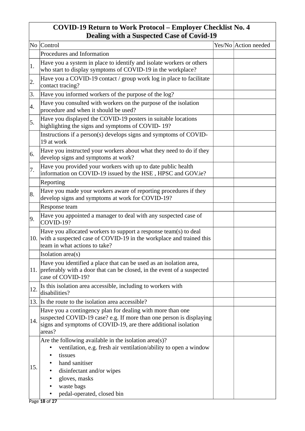# **COVID-19 Return to Work Protocol – Employer Checklist No. 4 Dealing with a Suspected Case of Covid-19**

|            | No Control                                                                                                                                                                                                                                           | Yes/No Action needed |
|------------|------------------------------------------------------------------------------------------------------------------------------------------------------------------------------------------------------------------------------------------------------|----------------------|
|            | Procedures and Information                                                                                                                                                                                                                           |                      |
| $\vert$ 1. | Have you a system in place to identify and isolate workers or others<br>who start to display symptoms of COVID-19 in the workplace?                                                                                                                  |                      |
| 2.         | Have you a COVID-19 contact / group work log in place to facilitate<br>contact tracing?                                                                                                                                                              |                      |
| 3.         | Have you informed workers of the purpose of the log?                                                                                                                                                                                                 |                      |
| 4.         | Have you consulted with workers on the purpose of the isolation<br>procedure and when it should be used?                                                                                                                                             |                      |
| 5.         | Have you displayed the COVID-19 posters in suitable locations<br>highlighting the signs and symptoms of COVID-19?                                                                                                                                    |                      |
|            | Instructions if a person(s) develops signs and symptoms of COVID-<br>19 at work                                                                                                                                                                      |                      |
| 6.         | Have you instructed your workers about what they need to do if they<br>develop signs and symptoms at work?                                                                                                                                           |                      |
| 7.         | Have you provided your workers with up to date public health<br>information on COVID-19 issued by the HSE, HPSC and GOV.ie?                                                                                                                          |                      |
|            | Reporting                                                                                                                                                                                                                                            |                      |
| 8.         | Have you made your workers aware of reporting procedures if they<br>develop signs and symptoms at work for COVID-19?                                                                                                                                 |                      |
|            | Response team                                                                                                                                                                                                                                        |                      |
| 9.         | Have you appointed a manager to deal with any suspected case of<br>COVID-19?                                                                                                                                                                         |                      |
|            | Have you allocated workers to support a response team(s) to deal<br>$ 10.$ with a suspected case of COVID-19 in the workplace and trained this<br>team in what actions to take?                                                                      |                      |
|            | Isolation area(s)                                                                                                                                                                                                                                    |                      |
|            | Have you identified a place that can be used as an isolation area,<br>11. preferably with a door that can be closed, in the event of a suspected<br>case of COVID-19?                                                                                |                      |
| 12.        | Is this isolation area accessible, including to workers with<br>disabilities?                                                                                                                                                                        |                      |
|            | 13. Is the route to the isolation area accessible?                                                                                                                                                                                                   |                      |
| 14.        | Have you a contingency plan for dealing with more than one<br>suspected COVID-19 case? e.g. If more than one person is displaying<br>signs and symptoms of COVID-19, are there additional isolation<br>areas?                                        |                      |
| 15.        | Are the following available in the isolation area $(s)$ ?<br>ventilation, e.g. fresh air ventilation/ability to open a window<br>tissues<br>hand sanitiser<br>disinfectant and/or wipes<br>gloves, masks<br>waste bags<br>pedal-operated, closed bin |                      |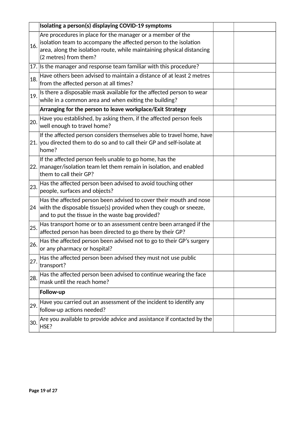|     | Isolating a person(s) displaying COVID-19 symptoms                                                                                                                                                                                |  |
|-----|-----------------------------------------------------------------------------------------------------------------------------------------------------------------------------------------------------------------------------------|--|
| 16. | Are procedures in place for the manager or a member of the<br>isolation team to accompany the affected person to the isolation<br>area, along the isolation route, while maintaining physical distancing<br>(2 metres) from them? |  |
|     | 17. Is the manager and response team familiar with this procedure?                                                                                                                                                                |  |
| 18. | Have others been advised to maintain a distance of at least 2 metres<br>from the affected person at all times?                                                                                                                    |  |
| 19. | Is there a disposable mask available for the affected person to wear<br>while in a common area and when exiting the building?                                                                                                     |  |
|     | Arranging for the person to leave workplace/Exit Strategy                                                                                                                                                                         |  |
| 20. | Have you established, by asking them, if the affected person feels<br>well enough to travel home?                                                                                                                                 |  |
|     | If the affected person considers themselves able to travel home, have<br>21. you directed them to do so and to call their GP and self-isolate at<br>home?                                                                         |  |
|     | If the affected person feels unable to go home, has the<br>22. manager/isolation team let them remain in isolation, and enabled<br>them to call their GP?                                                                         |  |
| 23. | Has the affected person been advised to avoid touching other<br>people, surfaces and objects?                                                                                                                                     |  |
|     | Has the affected person been advised to cover their mouth and nose<br>24 with the disposable tissue(s) provided when they cough or sneeze,<br>and to put the tissue in the waste bag provided?                                    |  |
| 25. | Has transport home or to an assessment centre been arranged if the<br>affected person has been directed to go there by their GP?                                                                                                  |  |
| 26. | Has the affected person been advised not to go to their GP's surgery<br>or any pharmacy or hospital?                                                                                                                              |  |
| 27. | Has the affected person been advised they must not use public<br>transport?                                                                                                                                                       |  |
| 28. | Has the affected person been advised to continue wearing the face<br>mask until the reach home?                                                                                                                                   |  |
|     | Follow-up                                                                                                                                                                                                                         |  |
| 29. | Have you carried out an assessment of the incident to identify any<br>follow-up actions needed?                                                                                                                                   |  |
| 30. | Are you available to provide advice and assistance if contacted by the<br>HSE?                                                                                                                                                    |  |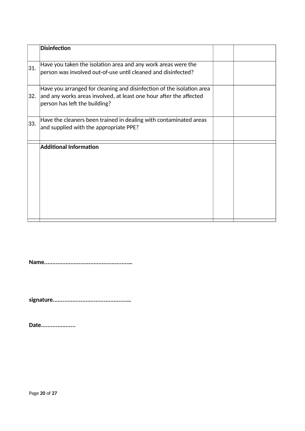|     | Disinfection                                                                                                                                                                 |  |
|-----|------------------------------------------------------------------------------------------------------------------------------------------------------------------------------|--|
| 31. | Have you taken the isolation area and any work areas were the<br>person was involved out-of-use until cleaned and disinfected?                                               |  |
| 32. | Have you arranged for cleaning and disinfection of the isolation area<br>and any works areas involved, at least one hour after the affected<br>person has left the building? |  |
| 33. | Have the cleaners been trained in dealing with contaminated areas<br>and supplied with the appropriate PPE?                                                                  |  |
|     | <b>Additional Information</b>                                                                                                                                                |  |

**Name...................................................…**

**signature.............................................…**

**Date.....................**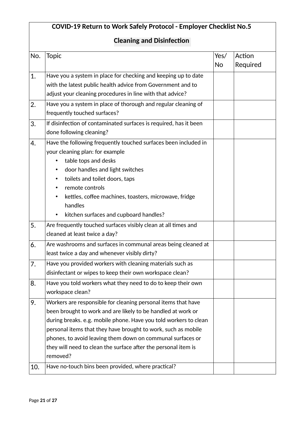# **COVID-19 Return to Work Safely Protocol - Employer Checklist No.5 Cleaning and Disinfection** No. Topic  $|{\rm Yes}/|$ No Action Required 1. Have you a system in place for checking and keeping up to date with the latest public health advice from Government and to adjust your cleaning procedures in line with that advice? 2. Have you a system in place of thorough and regular cleaning of frequently touched surfaces?  $3.$  If disinfection of contaminated surfaces is required, has it been done following cleaning?  $4.$  Have the following frequently touched surfaces been included in your cleaning plan: for example table tops and desks • door handles and light switches • toilets and toilet doors, taps • remote controls kettles, coffee machines, toasters, microwave, fridge handles • kitchen surfaces and cupboard handles?  $5.$  Are frequently touched surfaces visibly clean at all times and cleaned at least twice a day?  $6.$  Are washrooms and surfaces in communal areas being cleaned at least twice a day and whenever visibly dirty?  $7.$  Have you provided workers with cleaning materials such as disinfectant or wipes to keep their own workspace clean?  $8.$  Have you told workers what they need to do to keep their own workspace clean? 9. Workers are responsible for cleaning personal items that have been brought to work and are likely to be handled at work or during breaks. e.g. mobile phone. Have you told workers to clean personal items that they have brought to work, such as mobile phones, to avoid leaving them down on communal surfaces or they will need to clean the surface after the personal item is removed? 10. Have no-touch bins been provided, where practical?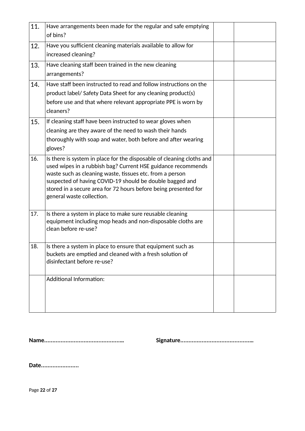| 11. | Have arrangements been made for the regular and safe emptying<br>of bins?                                                                                                                                                                                                                                                                                     |  |
|-----|---------------------------------------------------------------------------------------------------------------------------------------------------------------------------------------------------------------------------------------------------------------------------------------------------------------------------------------------------------------|--|
| 12. | Have you sufficient cleaning materials available to allow for<br>increased cleaning?                                                                                                                                                                                                                                                                          |  |
| 13. | Have cleaning staff been trained in the new cleaning<br>arrangements?                                                                                                                                                                                                                                                                                         |  |
| 14. | Have staff been instructed to read and follow instructions on the<br>product label/ Safety Data Sheet for any cleaning product(s)<br>before use and that where relevant appropriate PPE is worn by<br>cleaners?                                                                                                                                               |  |
| 15. | If cleaning staff have been instructed to wear gloves when<br>cleaning are they aware of the need to wash their hands<br>thoroughly with soap and water, both before and after wearing<br>gloves?                                                                                                                                                             |  |
| 16. | Is there is system in place for the disposable of cleaning cloths and<br>used wipes in a rubbish bag? Current HSE guidance recommends<br>waste such as cleaning waste, tissues etc. from a person<br>suspected of having COVID-19 should be double bagged and<br>stored in a secure area for 72 hours before being presented for<br>general waste collection. |  |
| 17. | Is there a system in place to make sure reusable cleaning<br>equipment including mop heads and non-disposable cloths are<br>clean before re-use?                                                                                                                                                                                                              |  |
| 18. | Is there a system in place to ensure that equipment such as<br>buckets are emptied and cleaned with a fresh solution of<br>disinfectant before re-use?                                                                                                                                                                                                        |  |
|     | <b>Additional Information:</b>                                                                                                                                                                                                                                                                                                                                |  |

**Name..............................................… Signature..........................................…**

**Date.......................**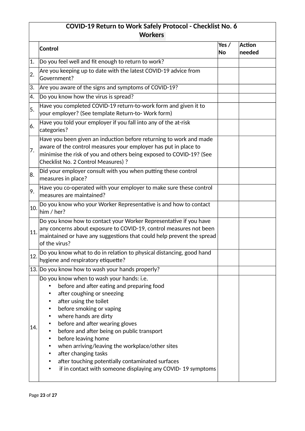# **COVID-19 Return to Work Safely Protocol - Checklist No. 6 Workers**

| <b>Control</b><br>Do you feel well and fit enough to return to work?<br>Are you keeping up to date with the latest COVID-19 advice from<br>Government?                                                                                                                                                                                                                                                                                                                                                               | Yes $/$<br>No | <b>Action</b><br>needed |
|----------------------------------------------------------------------------------------------------------------------------------------------------------------------------------------------------------------------------------------------------------------------------------------------------------------------------------------------------------------------------------------------------------------------------------------------------------------------------------------------------------------------|---------------|-------------------------|
|                                                                                                                                                                                                                                                                                                                                                                                                                                                                                                                      |               |                         |
|                                                                                                                                                                                                                                                                                                                                                                                                                                                                                                                      |               |                         |
|                                                                                                                                                                                                                                                                                                                                                                                                                                                                                                                      |               |                         |
| Are you aware of the signs and symptoms of COVID-19?                                                                                                                                                                                                                                                                                                                                                                                                                                                                 |               |                         |
| Do you know how the virus is spread?                                                                                                                                                                                                                                                                                                                                                                                                                                                                                 |               |                         |
| Have you completed COVID-19 return-to-work form and given it to<br>your employer? (See template Return-to-Work form)                                                                                                                                                                                                                                                                                                                                                                                                 |               |                         |
| Have you told your employer if you fall into any of the at-risk<br>categories?                                                                                                                                                                                                                                                                                                                                                                                                                                       |               |                         |
| Have you been given an induction before returning to work and made<br>aware of the control measures your employer has put in place to<br>$ $ minimise the risk of you and others being exposed to COVID-19? (See<br>Checklist No. 2 Control Measures) ?                                                                                                                                                                                                                                                              |               |                         |
| Did your employer consult with you when putting these control<br>$ $ measures in place?                                                                                                                                                                                                                                                                                                                                                                                                                              |               |                         |
| Have you co-operated with your employer to make sure these control<br>measures are maintained?                                                                                                                                                                                                                                                                                                                                                                                                                       |               |                         |
| Do you know who your Worker Representative is and how to contact<br>him / her?                                                                                                                                                                                                                                                                                                                                                                                                                                       |               |                         |
| Do you know how to contact your Worker Representative if you have<br>any concerns about exposure to COVID-19, control measures not been<br>maintained or have any suggestions that could help prevent the spread<br>of the virus?                                                                                                                                                                                                                                                                                    |               |                         |
| Do you know what to do in relation to physical distancing, good hand<br>hygiene and respiratory etiquette?                                                                                                                                                                                                                                                                                                                                                                                                           |               |                         |
| 13. Do you know how to wash your hands properly?                                                                                                                                                                                                                                                                                                                                                                                                                                                                     |               |                         |
| Do you know when to wash your hands: i.e.<br>before and after eating and preparing food<br>after coughing or sneezing<br>after using the toilet<br>before smoking or vaping<br>where hands are dirty<br>before and after wearing gloves<br>before and after being on public transport<br>before leaving home<br>when arriving/leaving the workplace/other sites<br>٠<br>after changing tasks<br>٠<br>after touching potentially contaminated surfaces<br>if in contact with someone displaying any COVID-19 symptoms |               |                         |
|                                                                                                                                                                                                                                                                                                                                                                                                                                                                                                                      |               |                         |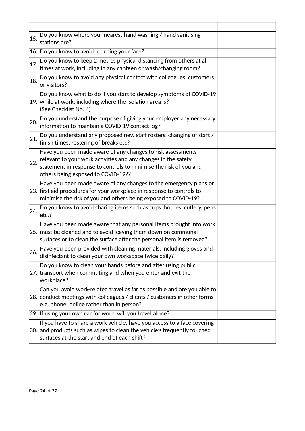| 15. | Do you know where your nearest hand washing / hand sanitising<br>stations are?                                                                                                                                                           |  |
|-----|------------------------------------------------------------------------------------------------------------------------------------------------------------------------------------------------------------------------------------------|--|
|     | 16. Do you know to avoid touching your face?                                                                                                                                                                                             |  |
| 17. | Do you know to keep 2 metres physical distancing from others at all<br>times at work, including in any canteen or wash/changing room?                                                                                                    |  |
| 18. | Do you know to avoid any physical contact with colleagues, customers<br>or visitors?                                                                                                                                                     |  |
|     | Do you know what to do if you start to develop symptoms of COVID-19<br>19. while at work, including where the isolation area is?<br>(See Checklist No. 4)                                                                                |  |
| 20. | Do you understand the purpose of giving your employer any necessary<br>information to maintain a COVID-19 contact log?                                                                                                                   |  |
| 21. | Do you understand any proposed new staff rosters, changing of start /<br>finish times, rostering of breaks etc?                                                                                                                          |  |
| 22. | Have you been made aware of any changes to risk assessments<br>relevant to your work activities and any changes in the safety<br>statement in response to controls to minimise the risk of you and<br>others being exposed to COVID-19?? |  |
|     | Have you been made aware of any changes to the emergency plans or<br>23. first aid procedures for your workplace in response to controls to<br>minimise the risk of you and others being exposed to COVID-19?                            |  |
| 24. | Do you know to avoid sharing items such as cups, bottles, cutlery, pens<br>etc.?                                                                                                                                                         |  |
|     | Have you been made aware that any personal items brought into work<br>25. must be cleaned and to avoid leaving them down on communal<br>surfaces or to clean the surface after the personal item is removed?                             |  |
|     | 26. Have you been provided with cleaning materials, including gloves and<br>disinfectant to clean your own workspace twice daily?                                                                                                        |  |
|     | Do you know to clean your hands before and after using public<br>27. transport when commuting and when you enter and exit the<br>workplace?                                                                                              |  |
|     | Can you avoid work-related travel as far as possible and are you able to<br>28. conduct meetings with colleagues / clients / customers in other forms<br>e.g. phone, online rather than in person?                                       |  |
|     | 29. If using your own car for work, will you travel alone?                                                                                                                                                                               |  |
|     | If you have to share a work vehicle, have you access to a face covering<br>30. and products such as wipes to clean the vehicle's frequently touched<br>surfaces at the start and end of each shift?                                      |  |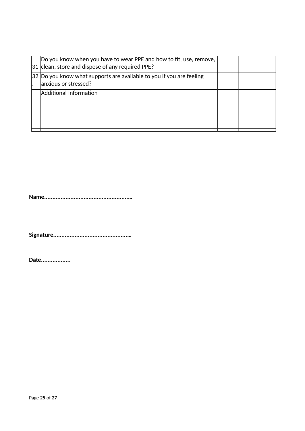| Do you know when you have to wear PPE and how to fit, use, remove,<br>31 clean, store and dispose of any required PPE? |  |
|------------------------------------------------------------------------------------------------------------------------|--|
| $ 32 $ Do you know what supports are available to you if you are feeling<br>anxious or stressed?                       |  |
| Additional Information                                                                                                 |  |

**Name...................................................…**

**Signature.............................................…**

**Date..................**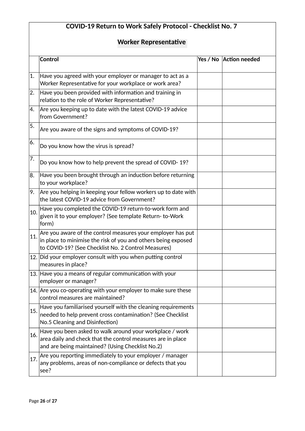# **COVID-19 Return to Work Safely Protocol - Checklist No. 7**

# **Worker Representatie**

|     | Control                                                                                                                                                                                 | Yes / No   Action needed |
|-----|-----------------------------------------------------------------------------------------------------------------------------------------------------------------------------------------|--------------------------|
| 1.  | Have you agreed with your employer or manager to act as a<br>Worker Representative for your workplace or work area?                                                                     |                          |
| 2.  | Have you been provided with information and training in<br>relation to the role of Worker Representative?                                                                               |                          |
| 4.  | Are you keeping up to date with the latest COVID-19 advice<br>from Government?                                                                                                          |                          |
| 5.  | Are you aware of the signs and symptoms of COVID-19?                                                                                                                                    |                          |
| 6.  | Do you know how the virus is spread?                                                                                                                                                    |                          |
| 7.  | Do you know how to help prevent the spread of COVID-19?                                                                                                                                 |                          |
| 8.  | Have you been brought through an induction before returning<br>to your workplace?                                                                                                       |                          |
| 19. | Are you helping in keeping your fellow workers up to date with<br>the latest COVID-19 advice from Government?                                                                           |                          |
| 10. | Have you completed the COVID-19 return-to-work form and<br>given it to your employer? (See template Return-to-Work<br>form)                                                             |                          |
| 11. | $ $ Are you aware of the control measures your employer has put<br>in place to minimise the risk of you and others being exposed<br>to COVID-19? (See Checklist No. 2 Control Measures) |                          |
|     | 12. Did your employer consult with you when putting control<br>measures in place?                                                                                                       |                          |
|     | 13. Have you a means of regular communication with your<br>employer or manager?                                                                                                         |                          |
|     | 14. Are you co-operating with your employer to make sure these<br>control measures are maintained?                                                                                      |                          |
| 15. | Have you familiarised yourself with the cleaning requirements<br>needed to help prevent cross contamination? (See Checklist<br>No.5 Cleaning and Disinfection)                          |                          |
| 16. | Have you been asked to walk around your workplace / work<br>area daily and check that the control measures are in place<br>and are being maintained? (Using Checklist No.2)             |                          |
| 17. | Are you reporting immediately to your employer / manager<br>any problems, areas of non-compliance or defects that you<br>see?                                                           |                          |